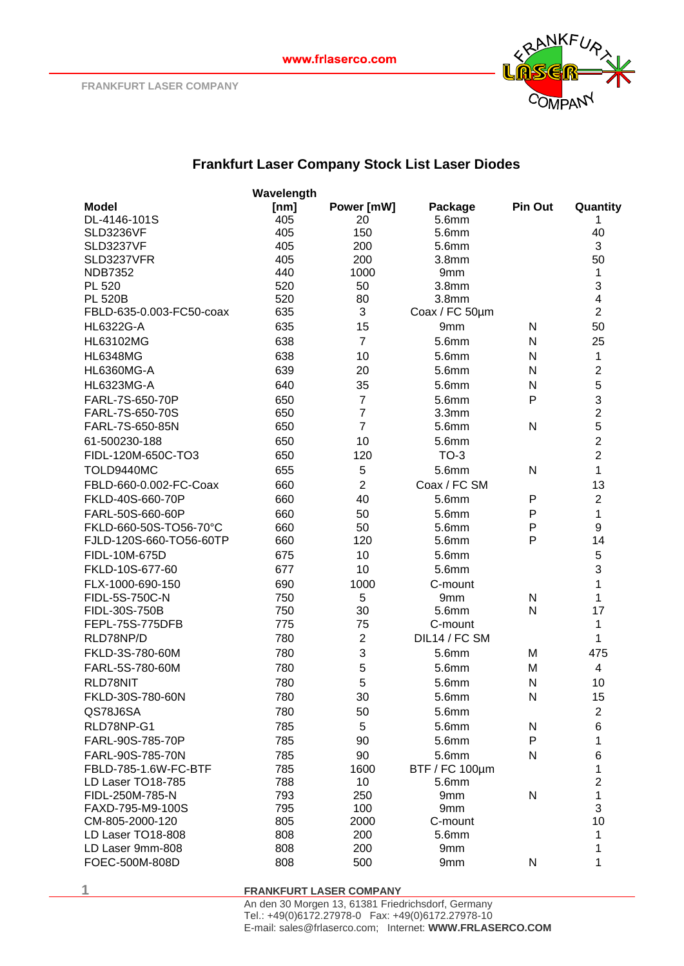

## **Frankfurt Laser Company Stock List Laser Diodes**

|                                 | Wavelength |                |                   |              |                |
|---------------------------------|------------|----------------|-------------------|--------------|----------------|
| <b>Model</b>                    | [nm]       | Power [mW]     | Package           | Pin Out      | Quantity       |
| DL-4146-101S                    | 405        | 20             | 5.6mm             |              | 1              |
| <b>SLD3236VF</b>                | 405        | 150            | 5.6mm             |              | 40             |
| SLD3237VF                       | 405        | 200            | 5.6mm             |              | 3              |
| SLD3237VFR                      | 405        | 200            | 3.8 <sub>mm</sub> |              | 50             |
| <b>NDB7352</b>                  | 440        | 1000           | 9mm               |              | 1              |
| PL 520                          | 520        | 50             | 3.8 <sub>mm</sub> |              | 3              |
| <b>PL 520B</b>                  | 520        | 80             | 3.8 <sub>mm</sub> |              | 4              |
| FBLD-635-0.003-FC50-coax        | 635        | 3              | Coax / FC 50µm    |              | $\overline{2}$ |
| HL6322G-A                       | 635        | 15             | 9mm               | N            | 50             |
| HL63102MG                       | 638        | $\overline{7}$ | 5.6mm             | N            | 25             |
| <b>HL6348MG</b>                 | 638        | 10             | 5.6mm             | N            | 1              |
| <b>HL6360MG-A</b>               | 639        | 20             | 5.6mm             | N            | $\overline{c}$ |
| <b>HL6323MG-A</b>               | 640        | 35             | 5.6mm             | N            | 5              |
| FARL-7S-650-70P                 | 650        | $\overline{7}$ | 5.6mm             | P            | 3              |
| FARL-7S-650-70S                 | 650        | $\overline{7}$ | 3.3 <sub>mm</sub> |              | $\overline{2}$ |
| FARL-7S-650-85N                 | 650        | $\overline{7}$ | 5.6mm             | N            | 5              |
| 61-500230-188                   | 650        | 10             | 5.6mm             |              | $\overline{2}$ |
| FIDL-120M-650C-TO3              | 650        | 120            | $TO-3$            |              | $\overline{2}$ |
| TOLD9440MC                      | 655        | 5              | 5.6mm             | N            | 1              |
| FBLD-660-0.002-FC-Coax          | 660        | $\overline{2}$ | Coax / FC SM      |              | 13             |
| FKLD-40S-660-70P                | 660        | 40             | 5.6mm             | P            | $\overline{2}$ |
| FARL-50S-660-60P                | 660        | 50             | 5.6mm             | $\mathsf{P}$ | 1              |
| FKLD-660-50S-TO56-70°C          | 660        | 50             | 5.6mm             | P            | 9              |
| FJLD-120S-660-TO56-60TP         | 660        | 120            | 5.6mm             | P            | 14             |
| FIDL-10M-675D                   | 675        | 10             | 5.6mm             |              | 5              |
| FKLD-10S-677-60                 | 677        | 10             | 5.6mm             |              | 3              |
|                                 |            |                |                   |              |                |
| FLX-1000-690-150                | 690        | 1000           | C-mount           |              | 1              |
| FIDL-5S-750C-N<br>FIDL-30S-750B | 750<br>750 | 5<br>30        | 9mm<br>5.6mm      | N<br>N       | 1<br>17        |
| FEPL-75S-775DFB                 | 775        | 75             | C-mount           |              | 1              |
| RLD78NP/D                       | 780        | $\overline{2}$ | DIL14 / FC SM     |              | 1              |
|                                 |            | 3              | 5.6mm             |              |                |
| FKLD-3S-780-60M                 | 780        |                |                   | M            | 475            |
| FARL-5S-780-60M                 | 780        | 5              | 5.6mm             | M            | 4              |
| RLD78NIT                        | 780        | 5              | 5.6mm             | N            | 10             |
| FKLD-30S-780-60N                | 780        | 30             | 5.6mm             | N            | 15             |
| QS78J6SA                        | 780        | 50             | 5.6mm             |              | $\overline{c}$ |
| RLD78NP-G1                      | 785        | 5              | 5.6mm             | N            | 6              |
| FARL-90S-785-70P                | 785        | 90             | 5.6mm             | $\mathsf{P}$ | 1              |
| FARL-90S-785-70N                | 785        | 90             | 5.6mm             | N            | 6              |
| FBLD-785-1.6W-FC-BTF            | 785        | 1600           | BTF / FC 100µm    |              | 1              |
| LD Laser TO18-785               | 788        | 10             | 5.6mm             |              | $\overline{c}$ |
| FIDL-250M-785-N                 | 793        | 250            | 9mm               | ${\sf N}$    | 1              |
| FAXD-795-M9-100S                | 795        | 100            | 9mm               |              | 3              |
| CM-805-2000-120                 | 805        | 2000           | C-mount           |              | 10             |
| LD Laser TO18-808               | 808        | 200            | 5.6mm             |              | 1              |
| LD Laser 9mm-808                | 808        | 200            | 9mm               |              | 1              |
| FOEC-500M-808D                  | 808        | 500            | 9mm               | ${\sf N}$    | 1              |

**1 FRANKFURT LASER COMPANY**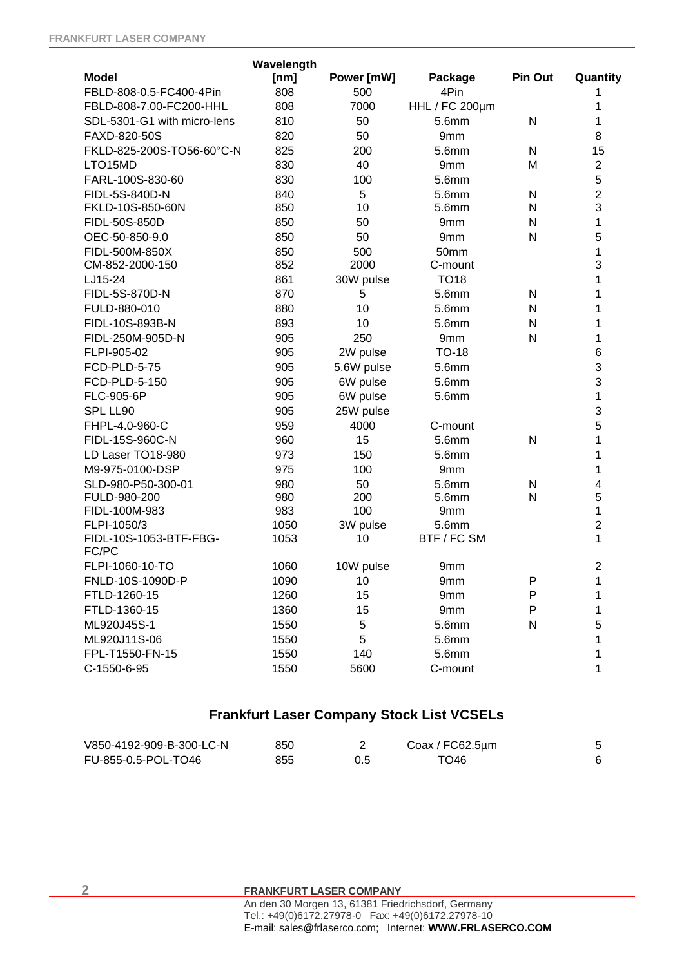|                                 | Wavelength |            |                       |                |                         |
|---------------------------------|------------|------------|-----------------------|----------------|-------------------------|
| <b>Model</b>                    | [nm]       | Power [mW] | Package               | <b>Pin Out</b> | Quantity                |
| FBLD-808-0.5-FC400-4Pin         | 808        | 500        | 4Pin                  |                | 1                       |
| FBLD-808-7.00-FC200-HHL         | 808        | 7000       | <b>HHL / FC 200µm</b> |                | 1                       |
| SDL-5301-G1 with micro-lens     | 810        | 50         | 5.6mm                 | N              | 1                       |
| FAXD-820-50S                    | 820        | 50         | 9mm                   |                | 8                       |
| FKLD-825-200S-TO56-60°C-N       | 825        | 200        | 5.6mm                 | N              | 15                      |
| LTO15MD                         | 830        | 40         | 9mm                   | M              | $\overline{2}$          |
| FARL-100S-830-60                | 830        | 100        | 5.6mm                 |                | 5                       |
| FIDL-5S-840D-N                  | 840        | 5          | 5.6mm                 | N              | $\overline{2}$          |
| FKLD-10S-850-60N                | 850        | 10         | 5.6mm                 | N              | 3                       |
| FIDL-50S-850D                   | 850        | 50         | 9mm                   | N              | 1                       |
| OEC-50-850-9.0                  | 850        | 50         | 9mm                   | N              | 5                       |
| FIDL-500M-850X                  | 850        | 500        | 50mm                  |                | 1                       |
| CM-852-2000-150                 | 852        | 2000       | C-mount               |                | 3                       |
| LJ15-24                         | 861        | 30W pulse  | <b>TO18</b>           |                | 1                       |
| FIDL-5S-870D-N                  | 870        | 5          | 5.6mm                 | N              | 1                       |
| FULD-880-010                    | 880        | 10         | 5.6mm                 | N              | 1                       |
| FIDL-10S-893B-N                 | 893        | 10         | 5.6mm                 | N              | 1                       |
| FIDL-250M-905D-N                | 905        | 250        | 9mm                   | N              | 1                       |
| FLPI-905-02                     | 905        | 2W pulse   | <b>TO-18</b>          |                | $\,6$                   |
| FCD-PLD-5-75                    | 905        | 5.6W pulse | 5.6mm                 |                | 3                       |
| FCD-PLD-5-150                   | 905        | 6W pulse   | 5.6mm                 |                | 3                       |
| FLC-905-6P                      | 905        | 6W pulse   | 5.6mm                 |                | 1                       |
| SPL LL90                        | 905        | 25W pulse  |                       |                | 3                       |
| FHPL-4.0-960-C                  | 959        | 4000       | C-mount               |                | 5                       |
| FIDL-15S-960C-N                 | 960        | 15         | 5.6mm                 | N              | 1                       |
| LD Laser TO18-980               | 973        | 150        | 5.6mm                 |                | 1                       |
| M9-975-0100-DSP                 | 975        | 100        | 9mm                   |                | 1                       |
| SLD-980-P50-300-01              | 980        | 50         | 5.6mm                 | N              | $\overline{\mathbf{4}}$ |
| FULD-980-200                    | 980        | 200        | 5.6mm                 | N              | 5                       |
| FIDL-100M-983                   | 983        | 100        | 9mm                   |                | 1                       |
| FLPI-1050/3                     | 1050       | 3W pulse   | 5.6mm                 |                | $\overline{c}$          |
| FIDL-10S-1053-BTF-FBG-<br>FC/PC | 1053       | 10         | BTF / FC SM           |                | 1                       |
| FLPI-1060-10-TO                 | 1060       | 10W pulse  | 9mm                   |                | 2                       |
| FNLD-10S-1090D-P                | 1090       | 10         | 9mm                   | P              | 1                       |
| FTLD-1260-15                    | 1260       | 15         | 9mm                   | P              | 1                       |
| FTLD-1360-15                    | 1360       | 15         | 9mm                   | P              | 1                       |
| ML920J45S-1                     | 1550       | 5          | 5.6mm                 | N              | 5                       |
| ML920J11S-06                    | 1550       | 5          | 5.6mm                 |                | 1                       |
| FPL-T1550-FN-15                 | 1550       | 140        | 5.6mm                 |                | 1                       |
| C-1550-6-95                     |            |            |                       |                |                         |
|                                 | 1550       | 5600       | C-mount               |                | 1                       |

## **Frankfurt Laser Company Stock List VCSELs**

| V850-4192-909-B-300-LC-N | 850 | Coax / FC62.5µm |  |
|--------------------------|-----|-----------------|--|
| FU-855-0.5-POL-TO46      | 855 | TO46            |  |

**2 FRANKFURT LASER COMPANY**